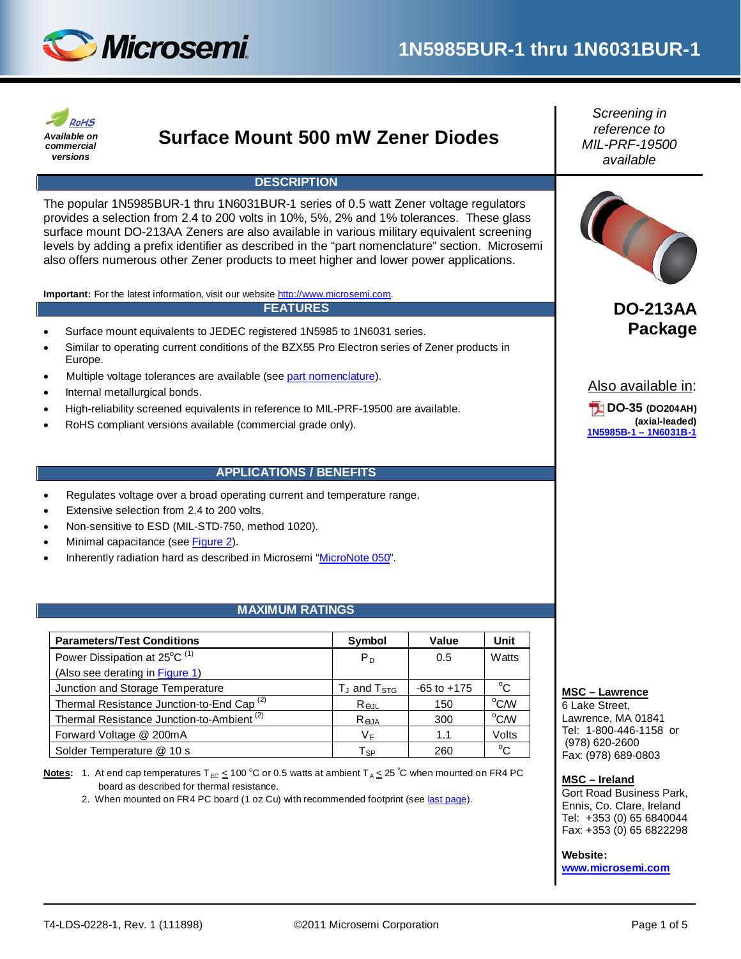



## **Surface Mount 500 mW Zener Diodes**

#### **DESCRIPTION**

The popular 1N5985BUR-1 thru 1N6031BUR-1 series of 0.5 watt Zener voltage regulators provides a selection from 2.4 to 200 volts in 10%, 5%, 2% and 1% tolerances. These glass surface mount DO-213AA Zeners are also available in various military equivalent screening levels by adding a prefix identifier as described in the "part nomenclature" section. Microsemi also offers numerous other Zener products to meet higher and lower power applications.

**Important:** For the latest information, visit our website [http://www.microsemi.com.](http://www.microsemi.com/)

#### **FEATURES**

- Surface mount equivalents to JEDEC registered 1N5985 to 1N6031 series.
- Similar to operating current conditions of the BZX55 Pro Electron series of Zener products in Europe.
- Multiple voltage tolerances are available (se[e part nomenclature\)](#page-1-0).
- Internal metallurgical bonds.
- High-reliability screened equivalents in reference to MIL-PRF-19500 are available.
- RoHS compliant versions available (commercial grade only).

#### **APPLICATIONS / BENEFITS**

- Regulates voltage over a broad operating current and temperature range.
- Extensive selection from 2.4 to 200 volts.
- Non-sensitive to ESD (MIL-STD-750, method 1020).
- Minimal capacitance (see [Figure 2\)](#page-3-0).
- Inherently radiation hard as described in Microsemi ["MicroNote 050"](http://www.microsemi.com/en/sites/default/files/micnotes/050.pdf).

#### **MAXIMUM RATINGS**

| <b>Parameters/Test Conditions</b>                     | Symbol                 | Value           | Unit          |
|-------------------------------------------------------|------------------------|-----------------|---------------|
| Power Dissipation at 25°C <sup>(1)</sup>              | P <sub>D</sub>         | 0.5             | Watts         |
| (Also see derating in Figure 1)                       |                        |                 |               |
| Junction and Storage Temperature                      | $T_J$ and $T_{STG}$    | $-65$ to $+175$ | $^{\circ}C$   |
| Thermal Resistance Junction-to-End Cap <sup>(2)</sup> | $R_{\Theta \text{JL}}$ | 150             | $^{\circ}$ CM |
| Thermal Resistance Junction-to-Ambient <sup>(2)</sup> | Reja                   | 300             | $^{\circ}$ CM |
| Forward Voltage @ 200mA                               | VF                     | 1.1             | Volts         |
| Solder Temperature @ 10 s                             | Tsp                    | 260             | $^{\circ}$ C  |

Notes: 1. At end cap temperatures T<sub>EC</sub>  $\leq$  100 °C or 0.5 watts at ambient T<sub>A</sub>  $\leq$  25 °C when mounted on FR4 PC board as described for thermal resistance.

2. When mounted on FR4 PC board (1 oz Cu) with recommended footprint (se[e last page\)](#page-4-0).

*Screening in reference to MIL-PRF-19500 available*



**DO-213AA Package**

Also available in:

**DO-35 (DO204AH) (axial-leaded) [1N5985B-1](http://www.microsemi.com/en/products/product-directory/4121) – 1N6031B-1**

#### **MSC – Lawrence**

6 Lake Street, Lawrence, MA 01841 Tel: 1-800-446-1158 or (978) 620-2600 Fax: (978) 689-0803

#### **MSC – Ireland**

Gort Road Business Park, Ennis, Co. Clare, Ireland Tel: +353 (0) 65 6840044 Fax: +353 (0) 65 6822298

#### **Website:**

**[www.microsemi.com](http://www.microsemi.com/)**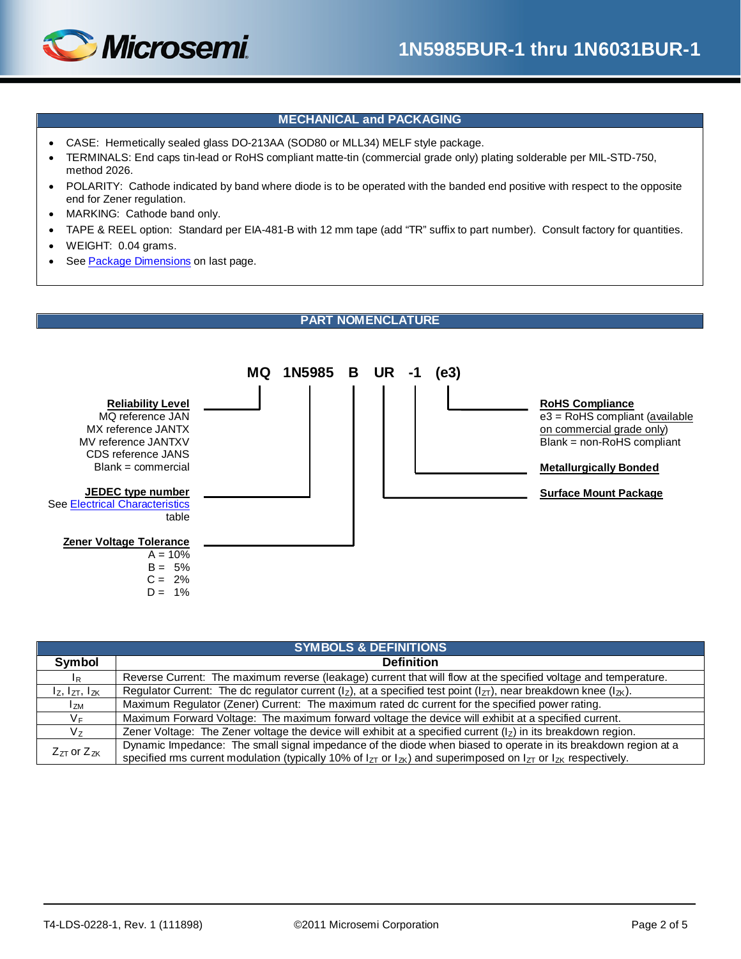

#### **MECHANICAL and PACKAGING**

- CASE: Hermetically sealed glass DO-213AA (SOD80 or MLL34) MELF style package.
- TERMINALS: End caps tin-lead or RoHS compliant matte-tin (commercial grade only) plating solderable per MIL-STD-750, method 2026.
- POLARITY: Cathode indicated by band where diode is to be operated with the banded end positive with respect to the opposite end for Zener regulation.
- MARKING: Cathode band only.
- TAPE & REEL option: Standard per EIA-481-B with 12 mm tape (add "TR" suffix to part number). Consult factory for quantities.
- WEIGHT: 0.04 grams.
- See [Package Dimensions](#page-4-1) on last page.

#### **PART NOMENCLATURE**

<span id="page-1-0"></span>

| <b>SYMBOLS &amp; DEFINITIONS</b> |                                                                                                                                  |  |  |  |  |
|----------------------------------|----------------------------------------------------------------------------------------------------------------------------------|--|--|--|--|
| Symbol                           | <b>Definition</b>                                                                                                                |  |  |  |  |
| I <sub>R</sub>                   | Reverse Current: The maximum reverse (leakage) current that will flow at the specified voltage and temperature.                  |  |  |  |  |
| $I_z$ , $I_{ZT}$ , $I_{ZK}$      | Regulator Current: The dc regulator current ( $I_z$ ), at a specified test point ( $I_{zT}$ ), near breakdown knee ( $I_{zK}$ ). |  |  |  |  |
| I <sub>ZM</sub>                  | Maximum Regulator (Zener) Current: The maximum rated dc current for the specified power rating.                                  |  |  |  |  |
| VF.                              | Maximum Forward Voltage: The maximum forward voltage the device will exhibit at a specified current.                             |  |  |  |  |
| Vz.                              | Zener Voltage: The Zener voltage the device will exhibit at a specified current $(1z)$ in its breakdown region.                  |  |  |  |  |
| $Z_{7T}$ or $Z_{7K}$             | Dynamic Impedance: The small signal impedance of the diode when biased to operate in its breakdown region at a                   |  |  |  |  |
|                                  | specified rms current modulation (typically 10% of $I_{ZT}$ or $I_{ZK}$ ) and superimposed on $I_{ZT}$ or $I_{ZK}$ respectively. |  |  |  |  |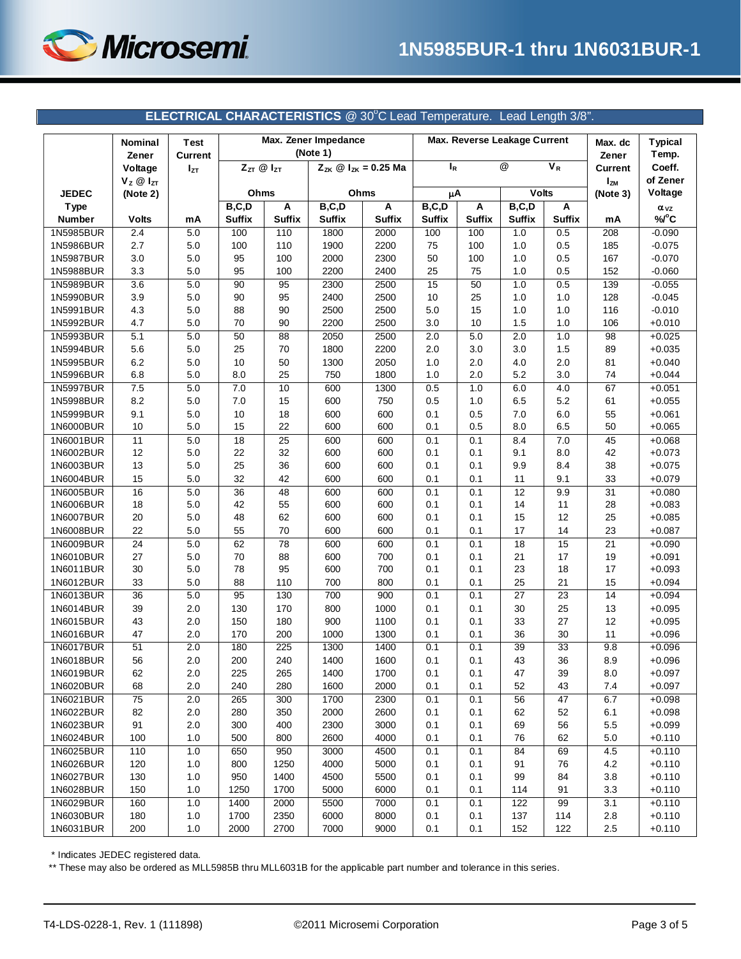

<span id="page-2-0"></span>

| $\overline{\circ}$<br>$\overline{V_R}$<br>$I_R$<br>$Z_{ZT}$ @ $I_{ZT}$<br>$Z_{ZK}$ @ $I_{ZK} = 0.25$ Ma<br>Coeff.<br>Voltage<br>Current<br>$I_{ZT}$<br>of Zener<br>$V_z \otimes I_{ZT}$<br><b>IzM</b><br><b>Volts</b><br>Ohms<br>Voltage<br><b>JEDEC</b><br>(Note 2)<br>Ohms<br>μA<br>(Note 3)<br>B, C, D<br>B, C, D<br>B, C, D<br>B, C, D<br>A<br>Α<br>A<br><b>Type</b><br>Α<br>$\alpha_{VZ}$<br><b>Suffix</b><br>%/°C<br><b>Number</b><br><b>Suffix</b><br><b>Suffix</b><br><b>Suffix</b><br><b>Suffix</b><br><b>Suffix</b><br><b>Suffix</b><br><b>Suffix</b><br><b>Volts</b><br>mA<br>mA<br>1N5985BUR<br>2.4<br>$5.0\,$<br>110<br>1800<br>2000<br>100<br>0.5<br>208<br>$-0.090$<br>100<br>100<br>1.0<br>2.7<br>$5.0\,$<br>110<br>1900<br>2200<br>75<br>100<br>1.0<br>0.5<br>$-0.075$<br>1N5986BUR<br>100<br>185<br>3.0<br>95<br>100<br>2000<br>2300<br>50<br>100<br>1.0<br>0.5<br>167<br>$-0.070$<br>1N5987BUR<br>5.0<br>95<br>100<br>2200<br>2400<br>25<br>75<br>0.5<br>$-0.060$<br>1N5988BUR<br>3.3<br>5.0<br>1.0<br>152<br>15<br>50<br>0.5<br>1N5989BUR<br>3.6<br>$5.0\,$<br>90<br>95<br>2300<br>2500<br>1.0<br>139<br>$-0.055$<br>3.9<br>$5.0\,$<br>90<br>95<br>2400<br>2500<br>10<br>25<br>1.0<br>1.0<br>128<br>$-0.045$<br>1N5990BUR<br>4.3<br>$5.0\,$<br>88<br>90<br>2500<br>2500<br>$5.0\,$<br>15<br>1.0<br>1.0<br>116<br>$-0.010$<br>1N5991BUR<br>70<br>90<br>2200<br>2500<br>10<br>1.5<br>1.0<br>1N5992BUR<br>4.7<br>5.0<br>3.0<br>106<br>$+0.010$<br>5.0<br>1N5993BUR<br>5.1<br>$5.0\,$<br>50<br>88<br>2050<br>2500<br>2.0<br>2.0<br>1.0<br>98<br>$+0.025$<br>5.6<br>$5.0\,$<br>25<br>70<br>1800<br>2200<br>2.0<br>3.0<br>3.0<br>1.5<br>89<br>$+0.035$<br>1N5994BUR<br>6.2<br>$5.0\,$<br>10<br>50<br>1300<br>2050<br>1.0<br>2.0<br>4.0<br>2.0<br>81<br>$+0.040$<br>1N5995BUR<br>25<br>6.8<br>5.0<br>8.0<br>750<br>1800<br>1.0<br>2.0<br>5.2<br>3.0<br>74<br>$+0.044$<br>1N5996BUR<br>1N5997BUR<br>7.5<br>$5.0\,$<br>7.0<br>10<br>600<br>1300<br>0.5<br>1.0<br>67<br>$+0.051$<br>6.0<br>4.0<br>8.2<br>$5.0\,$<br>7.0<br>15<br>600<br>750<br>0.5<br>1.0<br>6.5<br>5.2<br>$+0.055$<br>1N5998BUR<br>61<br>9.1<br>$5.0\,$<br>10<br>18<br>600<br>600<br>0.1<br>0.5<br>7.0<br>6.0<br>55<br>$+0.061$<br>1N5999BUR<br>10<br>5.0<br>15<br>22<br>600<br>600<br>0.1<br>0.5<br>8.0<br>6.5<br>50<br>$+0.065$<br>1N6000BUR<br>11<br>$\overline{25}$<br>45<br>1N6001BUR<br>$5.0\,$<br>18<br>600<br>600<br>0.1<br>0.1<br>8.4<br>7.0<br>$+0.068$<br>12<br>$5.0\,$<br>22<br>32<br>600<br>600<br>0.1<br>0.1<br>9.1<br>8.0<br>42<br>$+0.073$<br>1N6002BUR<br>13<br>25<br>36<br>600<br>0.1<br>0.1<br>8.4<br>38<br>1N6003BUR<br>5.0<br>600<br>9.9<br>$+0.075$<br>32<br>0.1<br>33<br>15<br>$5.0\,$<br>42<br>600<br>600<br>0.1<br>11<br>9.1<br>$+0.079$<br>1N6004BUR<br>16<br>12<br>31<br>1N6005BUR<br>$5.0\,$<br>36<br>48<br>600<br>600<br>0.1<br>0.1<br>9.9<br>$+0.080$<br>18<br>42<br>55<br>600<br>600<br>0.1<br>0.1<br>14<br>11<br>28<br>$+0.083$<br>1N6006BUR<br>5.0<br>48<br>62<br>600<br>600<br>0.1<br>0.1<br>12<br>25<br>$+0.085$<br>1N6007BUR<br>20<br>5.0<br>15<br>55<br>70<br>600<br>600<br>0.1<br>0.1<br>17<br>14<br>23<br>1N6008BUR<br>22<br>5.0<br>$+0.087$<br>$\overline{24}$<br>62<br>21<br>1N6009BUR<br>$5.0\,$<br>78<br>600<br>600<br>0.1<br>0.1<br>18<br>15<br>$+0.090$<br>1N6010BUR<br>27<br>$5.0\,$<br>70<br>88<br>600<br>700<br>0.1<br>0.1<br>21<br>17<br>19<br>$+0.091$<br>30<br>78<br>95<br>600<br>700<br>0.1<br>0.1<br>23<br>18<br>17<br>$+0.093$<br>1N6011BUR<br>5.0<br>33<br>5.0<br>88<br>110<br>700<br>800<br>0.1<br>0.1<br>25<br>21<br>15<br>$+0.094$<br>1N6012BUR<br>36<br>95<br>700<br>900<br>27<br>23<br>1N6013BUR<br>$5.0\,$<br>130<br>0.1<br>0.1<br>14<br>$+0.094$<br>39<br>2.0<br>170<br>800<br>1000<br>0.1<br>0.1<br>30<br>25<br>13<br>$+0.095$<br>1N6014BUR<br>130<br>43<br>2.0<br>180<br>900<br>1100<br>0.1<br>0.1<br>33<br>27<br>12<br>$+0.095$<br>1N6015BUR<br>150<br>47<br>30<br>1N6016BUR<br>2.0<br>170<br>200<br>1000<br>1300<br>0.1<br>0.1<br>36<br>11<br>$+0.096$<br>51<br>2.0<br>180<br>225<br>1300<br>1400<br>0.1<br>0.1<br>39<br>33<br>9.8<br>$+0.096$<br>1N6017BUR<br>56<br>2.0<br>200<br>240<br>1400<br>1600<br>0.1<br>0.1<br>43<br>36<br>8.9<br>1N6018BUR<br>$+0.096$<br>62<br>2.0<br>265<br>1700<br>0.1<br>39<br>$_{\rm 8.0}$<br>1N6019BUR<br>225<br>1400<br>0.1<br>47<br>$+0.097$<br>1N6020BUR<br>68<br>2.0<br>240<br>280<br>1600<br>2000<br>0.1<br>0.1<br>52<br>43<br>7.4<br>$+0.097$<br>1N6021BUR<br>75<br>2.0<br>1700<br>2300<br>47<br>$+0.098$<br>265<br>300<br>0.1<br>0.1<br>56<br>6.7<br>2000<br>2600<br>0.1<br>0.1<br>1N6022BUR<br>82<br>2.0<br>280<br>350<br>62<br>52<br>6.1<br>$+0.098$<br>91<br>$2.0\,$<br>2300<br>3000<br>0.1<br>0.1<br>1N6023BUR<br>300<br>400<br>69<br>56<br>5.5<br>$+0.099$<br>1.0<br>500<br>2600<br>4000<br>0.1<br>0.1<br>76<br>62<br>5.0<br>1N6024BUR<br>100<br>800<br>$+0.110$<br>1N6025BUR<br>110<br>1.0<br>650<br>950<br>3000<br>4500<br>0.1<br>84<br>4.5<br>$+0.110$<br>0.1<br>69<br>1N6026BUR<br>120<br>1250<br>4000<br>5000<br>0.1<br>0.1<br>91<br>4.2<br>$+0.110$<br>1.0<br>800<br>76<br>4500<br>5500<br>0.1<br>99<br>1N6027BUR<br>130<br>1.0<br>950<br>1400<br>0.1<br>84<br>3.8<br>$+0.110$<br>1700<br>5000<br>6000<br>0.1<br>0.1<br>114<br>91<br>3.3<br>1N6028BUR<br>150<br>1.0<br>1250<br>$+0.110$<br>1N6029BUR<br>160<br>1.0<br>1400<br>2000<br>5500<br>7000<br>0.1<br>122<br>99<br>3.1<br>$+0.110$<br>0.1<br>1700<br>2350<br>6000<br>8000<br>1N6030BUR<br>180<br>1.0<br>0.1<br>0.1<br>137<br>114<br>2.8<br>$+0.110$ |           | Nominal<br>Zener | Test<br><b>Current</b> | Max. Zener Impedance<br>(Note 1) |      | Max. Reverse Leakage Current |      |     | Max. dc<br>Zener | <b>Typical</b><br>Temp. |     |         |          |
|-----------------------------------------------------------------------------------------------------------------------------------------------------------------------------------------------------------------------------------------------------------------------------------------------------------------------------------------------------------------------------------------------------------------------------------------------------------------------------------------------------------------------------------------------------------------------------------------------------------------------------------------------------------------------------------------------------------------------------------------------------------------------------------------------------------------------------------------------------------------------------------------------------------------------------------------------------------------------------------------------------------------------------------------------------------------------------------------------------------------------------------------------------------------------------------------------------------------------------------------------------------------------------------------------------------------------------------------------------------------------------------------------------------------------------------------------------------------------------------------------------------------------------------------------------------------------------------------------------------------------------------------------------------------------------------------------------------------------------------------------------------------------------------------------------------------------------------------------------------------------------------------------------------------------------------------------------------------------------------------------------------------------------------------------------------------------------------------------------------------------------------------------------------------------------------------------------------------------------------------------------------------------------------------------------------------------------------------------------------------------------------------------------------------------------------------------------------------------------------------------------------------------------------------------------------------------------------------------------------------------------------------------------------------------------------------------------------------------------------------------------------------------------------------------------------------------------------------------------------------------------------------------------------------------------------------------------------------------------------------------------------------------------------------------------------------------------------------------------------------------------------------------------------------------------------------------------------------------------------------------------------------------------------------------------------------------------------------------------------------------------------------------------------------------------------------------------------------------------------------------------------------------------------------------------------------------------------------------------------------------------------------------------------------------------------------------------------------------------------------------------------------------------------------------------------------------------------------------------------------------------------------------------------------------------------------------------------------------------------------------------------------------------------------------------------------------------------------------------------------------------------------------------------------------------------------------------------------------------------------------------------------------------------------------------------------------------------------------------------------------------------------------------------------------------------------------------------------------------------------------------------------------------------------------------------------------------------------------------------------------------------------------------------------------------------------------------------------------------------------------------------------------------------------------------------------------------------------------------------------------------------------------------------------------------------------------------------------------------------------------------------------------------------------------------------------------------------------------------------------------------------------------------------------------------------------------------------------------------------------------------------------------------------------------------------------------------------------------------------------------------------------------------------------------------------------------------------------------------------------------------------|-----------|------------------|------------------------|----------------------------------|------|------------------------------|------|-----|------------------|-------------------------|-----|---------|----------|
|                                                                                                                                                                                                                                                                                                                                                                                                                                                                                                                                                                                                                                                                                                                                                                                                                                                                                                                                                                                                                                                                                                                                                                                                                                                                                                                                                                                                                                                                                                                                                                                                                                                                                                                                                                                                                                                                                                                                                                                                                                                                                                                                                                                                                                                                                                                                                                                                                                                                                                                                                                                                                                                                                                                                                                                                                                                                                                                                                                                                                                                                                                                                                                                                                                                                                                                                                                                                                                                                                                                                                                                                                                                                                                                                                                                                                                                                                                                                                                                                                                                                                                                                                                                                                                                                                                                                                                                                                                                                                                                                                                                                                                                                                                                                                                                                                                                                                                                                                                                                                                                                                                                                                                                                                                                                                                                                                                                                                                                                                                           |           |                  |                        |                                  |      |                              |      |     |                  |                         |     |         |          |
|                                                                                                                                                                                                                                                                                                                                                                                                                                                                                                                                                                                                                                                                                                                                                                                                                                                                                                                                                                                                                                                                                                                                                                                                                                                                                                                                                                                                                                                                                                                                                                                                                                                                                                                                                                                                                                                                                                                                                                                                                                                                                                                                                                                                                                                                                                                                                                                                                                                                                                                                                                                                                                                                                                                                                                                                                                                                                                                                                                                                                                                                                                                                                                                                                                                                                                                                                                                                                                                                                                                                                                                                                                                                                                                                                                                                                                                                                                                                                                                                                                                                                                                                                                                                                                                                                                                                                                                                                                                                                                                                                                                                                                                                                                                                                                                                                                                                                                                                                                                                                                                                                                                                                                                                                                                                                                                                                                                                                                                                                                           |           |                  |                        |                                  |      |                              |      |     |                  |                         |     |         |          |
|                                                                                                                                                                                                                                                                                                                                                                                                                                                                                                                                                                                                                                                                                                                                                                                                                                                                                                                                                                                                                                                                                                                                                                                                                                                                                                                                                                                                                                                                                                                                                                                                                                                                                                                                                                                                                                                                                                                                                                                                                                                                                                                                                                                                                                                                                                                                                                                                                                                                                                                                                                                                                                                                                                                                                                                                                                                                                                                                                                                                                                                                                                                                                                                                                                                                                                                                                                                                                                                                                                                                                                                                                                                                                                                                                                                                                                                                                                                                                                                                                                                                                                                                                                                                                                                                                                                                                                                                                                                                                                                                                                                                                                                                                                                                                                                                                                                                                                                                                                                                                                                                                                                                                                                                                                                                                                                                                                                                                                                                                                           |           |                  |                        |                                  |      |                              |      |     |                  |                         |     |         |          |
|                                                                                                                                                                                                                                                                                                                                                                                                                                                                                                                                                                                                                                                                                                                                                                                                                                                                                                                                                                                                                                                                                                                                                                                                                                                                                                                                                                                                                                                                                                                                                                                                                                                                                                                                                                                                                                                                                                                                                                                                                                                                                                                                                                                                                                                                                                                                                                                                                                                                                                                                                                                                                                                                                                                                                                                                                                                                                                                                                                                                                                                                                                                                                                                                                                                                                                                                                                                                                                                                                                                                                                                                                                                                                                                                                                                                                                                                                                                                                                                                                                                                                                                                                                                                                                                                                                                                                                                                                                                                                                                                                                                                                                                                                                                                                                                                                                                                                                                                                                                                                                                                                                                                                                                                                                                                                                                                                                                                                                                                                                           |           |                  |                        |                                  |      |                              |      |     |                  |                         |     |         |          |
|                                                                                                                                                                                                                                                                                                                                                                                                                                                                                                                                                                                                                                                                                                                                                                                                                                                                                                                                                                                                                                                                                                                                                                                                                                                                                                                                                                                                                                                                                                                                                                                                                                                                                                                                                                                                                                                                                                                                                                                                                                                                                                                                                                                                                                                                                                                                                                                                                                                                                                                                                                                                                                                                                                                                                                                                                                                                                                                                                                                                                                                                                                                                                                                                                                                                                                                                                                                                                                                                                                                                                                                                                                                                                                                                                                                                                                                                                                                                                                                                                                                                                                                                                                                                                                                                                                                                                                                                                                                                                                                                                                                                                                                                                                                                                                                                                                                                                                                                                                                                                                                                                                                                                                                                                                                                                                                                                                                                                                                                                                           |           |                  |                        |                                  |      |                              |      |     |                  |                         |     |         |          |
|                                                                                                                                                                                                                                                                                                                                                                                                                                                                                                                                                                                                                                                                                                                                                                                                                                                                                                                                                                                                                                                                                                                                                                                                                                                                                                                                                                                                                                                                                                                                                                                                                                                                                                                                                                                                                                                                                                                                                                                                                                                                                                                                                                                                                                                                                                                                                                                                                                                                                                                                                                                                                                                                                                                                                                                                                                                                                                                                                                                                                                                                                                                                                                                                                                                                                                                                                                                                                                                                                                                                                                                                                                                                                                                                                                                                                                                                                                                                                                                                                                                                                                                                                                                                                                                                                                                                                                                                                                                                                                                                                                                                                                                                                                                                                                                                                                                                                                                                                                                                                                                                                                                                                                                                                                                                                                                                                                                                                                                                                                           |           |                  |                        |                                  |      |                              |      |     |                  |                         |     |         |          |
|                                                                                                                                                                                                                                                                                                                                                                                                                                                                                                                                                                                                                                                                                                                                                                                                                                                                                                                                                                                                                                                                                                                                                                                                                                                                                                                                                                                                                                                                                                                                                                                                                                                                                                                                                                                                                                                                                                                                                                                                                                                                                                                                                                                                                                                                                                                                                                                                                                                                                                                                                                                                                                                                                                                                                                                                                                                                                                                                                                                                                                                                                                                                                                                                                                                                                                                                                                                                                                                                                                                                                                                                                                                                                                                                                                                                                                                                                                                                                                                                                                                                                                                                                                                                                                                                                                                                                                                                                                                                                                                                                                                                                                                                                                                                                                                                                                                                                                                                                                                                                                                                                                                                                                                                                                                                                                                                                                                                                                                                                                           |           |                  |                        |                                  |      |                              |      |     |                  |                         |     |         |          |
|                                                                                                                                                                                                                                                                                                                                                                                                                                                                                                                                                                                                                                                                                                                                                                                                                                                                                                                                                                                                                                                                                                                                                                                                                                                                                                                                                                                                                                                                                                                                                                                                                                                                                                                                                                                                                                                                                                                                                                                                                                                                                                                                                                                                                                                                                                                                                                                                                                                                                                                                                                                                                                                                                                                                                                                                                                                                                                                                                                                                                                                                                                                                                                                                                                                                                                                                                                                                                                                                                                                                                                                                                                                                                                                                                                                                                                                                                                                                                                                                                                                                                                                                                                                                                                                                                                                                                                                                                                                                                                                                                                                                                                                                                                                                                                                                                                                                                                                                                                                                                                                                                                                                                                                                                                                                                                                                                                                                                                                                                                           |           |                  |                        |                                  |      |                              |      |     |                  |                         |     |         |          |
|                                                                                                                                                                                                                                                                                                                                                                                                                                                                                                                                                                                                                                                                                                                                                                                                                                                                                                                                                                                                                                                                                                                                                                                                                                                                                                                                                                                                                                                                                                                                                                                                                                                                                                                                                                                                                                                                                                                                                                                                                                                                                                                                                                                                                                                                                                                                                                                                                                                                                                                                                                                                                                                                                                                                                                                                                                                                                                                                                                                                                                                                                                                                                                                                                                                                                                                                                                                                                                                                                                                                                                                                                                                                                                                                                                                                                                                                                                                                                                                                                                                                                                                                                                                                                                                                                                                                                                                                                                                                                                                                                                                                                                                                                                                                                                                                                                                                                                                                                                                                                                                                                                                                                                                                                                                                                                                                                                                                                                                                                                           |           |                  |                        |                                  |      |                              |      |     |                  |                         |     |         |          |
|                                                                                                                                                                                                                                                                                                                                                                                                                                                                                                                                                                                                                                                                                                                                                                                                                                                                                                                                                                                                                                                                                                                                                                                                                                                                                                                                                                                                                                                                                                                                                                                                                                                                                                                                                                                                                                                                                                                                                                                                                                                                                                                                                                                                                                                                                                                                                                                                                                                                                                                                                                                                                                                                                                                                                                                                                                                                                                                                                                                                                                                                                                                                                                                                                                                                                                                                                                                                                                                                                                                                                                                                                                                                                                                                                                                                                                                                                                                                                                                                                                                                                                                                                                                                                                                                                                                                                                                                                                                                                                                                                                                                                                                                                                                                                                                                                                                                                                                                                                                                                                                                                                                                                                                                                                                                                                                                                                                                                                                                                                           |           |                  |                        |                                  |      |                              |      |     |                  |                         |     |         |          |
|                                                                                                                                                                                                                                                                                                                                                                                                                                                                                                                                                                                                                                                                                                                                                                                                                                                                                                                                                                                                                                                                                                                                                                                                                                                                                                                                                                                                                                                                                                                                                                                                                                                                                                                                                                                                                                                                                                                                                                                                                                                                                                                                                                                                                                                                                                                                                                                                                                                                                                                                                                                                                                                                                                                                                                                                                                                                                                                                                                                                                                                                                                                                                                                                                                                                                                                                                                                                                                                                                                                                                                                                                                                                                                                                                                                                                                                                                                                                                                                                                                                                                                                                                                                                                                                                                                                                                                                                                                                                                                                                                                                                                                                                                                                                                                                                                                                                                                                                                                                                                                                                                                                                                                                                                                                                                                                                                                                                                                                                                                           |           |                  |                        |                                  |      |                              |      |     |                  |                         |     |         |          |
|                                                                                                                                                                                                                                                                                                                                                                                                                                                                                                                                                                                                                                                                                                                                                                                                                                                                                                                                                                                                                                                                                                                                                                                                                                                                                                                                                                                                                                                                                                                                                                                                                                                                                                                                                                                                                                                                                                                                                                                                                                                                                                                                                                                                                                                                                                                                                                                                                                                                                                                                                                                                                                                                                                                                                                                                                                                                                                                                                                                                                                                                                                                                                                                                                                                                                                                                                                                                                                                                                                                                                                                                                                                                                                                                                                                                                                                                                                                                                                                                                                                                                                                                                                                                                                                                                                                                                                                                                                                                                                                                                                                                                                                                                                                                                                                                                                                                                                                                                                                                                                                                                                                                                                                                                                                                                                                                                                                                                                                                                                           |           |                  |                        |                                  |      |                              |      |     |                  |                         |     |         |          |
|                                                                                                                                                                                                                                                                                                                                                                                                                                                                                                                                                                                                                                                                                                                                                                                                                                                                                                                                                                                                                                                                                                                                                                                                                                                                                                                                                                                                                                                                                                                                                                                                                                                                                                                                                                                                                                                                                                                                                                                                                                                                                                                                                                                                                                                                                                                                                                                                                                                                                                                                                                                                                                                                                                                                                                                                                                                                                                                                                                                                                                                                                                                                                                                                                                                                                                                                                                                                                                                                                                                                                                                                                                                                                                                                                                                                                                                                                                                                                                                                                                                                                                                                                                                                                                                                                                                                                                                                                                                                                                                                                                                                                                                                                                                                                                                                                                                                                                                                                                                                                                                                                                                                                                                                                                                                                                                                                                                                                                                                                                           |           |                  |                        |                                  |      |                              |      |     |                  |                         |     |         |          |
|                                                                                                                                                                                                                                                                                                                                                                                                                                                                                                                                                                                                                                                                                                                                                                                                                                                                                                                                                                                                                                                                                                                                                                                                                                                                                                                                                                                                                                                                                                                                                                                                                                                                                                                                                                                                                                                                                                                                                                                                                                                                                                                                                                                                                                                                                                                                                                                                                                                                                                                                                                                                                                                                                                                                                                                                                                                                                                                                                                                                                                                                                                                                                                                                                                                                                                                                                                                                                                                                                                                                                                                                                                                                                                                                                                                                                                                                                                                                                                                                                                                                                                                                                                                                                                                                                                                                                                                                                                                                                                                                                                                                                                                                                                                                                                                                                                                                                                                                                                                                                                                                                                                                                                                                                                                                                                                                                                                                                                                                                                           |           |                  |                        |                                  |      |                              |      |     |                  |                         |     |         |          |
|                                                                                                                                                                                                                                                                                                                                                                                                                                                                                                                                                                                                                                                                                                                                                                                                                                                                                                                                                                                                                                                                                                                                                                                                                                                                                                                                                                                                                                                                                                                                                                                                                                                                                                                                                                                                                                                                                                                                                                                                                                                                                                                                                                                                                                                                                                                                                                                                                                                                                                                                                                                                                                                                                                                                                                                                                                                                                                                                                                                                                                                                                                                                                                                                                                                                                                                                                                                                                                                                                                                                                                                                                                                                                                                                                                                                                                                                                                                                                                                                                                                                                                                                                                                                                                                                                                                                                                                                                                                                                                                                                                                                                                                                                                                                                                                                                                                                                                                                                                                                                                                                                                                                                                                                                                                                                                                                                                                                                                                                                                           |           |                  |                        |                                  |      |                              |      |     |                  |                         |     |         |          |
|                                                                                                                                                                                                                                                                                                                                                                                                                                                                                                                                                                                                                                                                                                                                                                                                                                                                                                                                                                                                                                                                                                                                                                                                                                                                                                                                                                                                                                                                                                                                                                                                                                                                                                                                                                                                                                                                                                                                                                                                                                                                                                                                                                                                                                                                                                                                                                                                                                                                                                                                                                                                                                                                                                                                                                                                                                                                                                                                                                                                                                                                                                                                                                                                                                                                                                                                                                                                                                                                                                                                                                                                                                                                                                                                                                                                                                                                                                                                                                                                                                                                                                                                                                                                                                                                                                                                                                                                                                                                                                                                                                                                                                                                                                                                                                                                                                                                                                                                                                                                                                                                                                                                                                                                                                                                                                                                                                                                                                                                                                           |           |                  |                        |                                  |      |                              |      |     |                  |                         |     |         |          |
|                                                                                                                                                                                                                                                                                                                                                                                                                                                                                                                                                                                                                                                                                                                                                                                                                                                                                                                                                                                                                                                                                                                                                                                                                                                                                                                                                                                                                                                                                                                                                                                                                                                                                                                                                                                                                                                                                                                                                                                                                                                                                                                                                                                                                                                                                                                                                                                                                                                                                                                                                                                                                                                                                                                                                                                                                                                                                                                                                                                                                                                                                                                                                                                                                                                                                                                                                                                                                                                                                                                                                                                                                                                                                                                                                                                                                                                                                                                                                                                                                                                                                                                                                                                                                                                                                                                                                                                                                                                                                                                                                                                                                                                                                                                                                                                                                                                                                                                                                                                                                                                                                                                                                                                                                                                                                                                                                                                                                                                                                                           |           |                  |                        |                                  |      |                              |      |     |                  |                         |     |         |          |
|                                                                                                                                                                                                                                                                                                                                                                                                                                                                                                                                                                                                                                                                                                                                                                                                                                                                                                                                                                                                                                                                                                                                                                                                                                                                                                                                                                                                                                                                                                                                                                                                                                                                                                                                                                                                                                                                                                                                                                                                                                                                                                                                                                                                                                                                                                                                                                                                                                                                                                                                                                                                                                                                                                                                                                                                                                                                                                                                                                                                                                                                                                                                                                                                                                                                                                                                                                                                                                                                                                                                                                                                                                                                                                                                                                                                                                                                                                                                                                                                                                                                                                                                                                                                                                                                                                                                                                                                                                                                                                                                                                                                                                                                                                                                                                                                                                                                                                                                                                                                                                                                                                                                                                                                                                                                                                                                                                                                                                                                                                           |           |                  |                        |                                  |      |                              |      |     |                  |                         |     |         |          |
|                                                                                                                                                                                                                                                                                                                                                                                                                                                                                                                                                                                                                                                                                                                                                                                                                                                                                                                                                                                                                                                                                                                                                                                                                                                                                                                                                                                                                                                                                                                                                                                                                                                                                                                                                                                                                                                                                                                                                                                                                                                                                                                                                                                                                                                                                                                                                                                                                                                                                                                                                                                                                                                                                                                                                                                                                                                                                                                                                                                                                                                                                                                                                                                                                                                                                                                                                                                                                                                                                                                                                                                                                                                                                                                                                                                                                                                                                                                                                                                                                                                                                                                                                                                                                                                                                                                                                                                                                                                                                                                                                                                                                                                                                                                                                                                                                                                                                                                                                                                                                                                                                                                                                                                                                                                                                                                                                                                                                                                                                                           |           |                  |                        |                                  |      |                              |      |     |                  |                         |     |         |          |
|                                                                                                                                                                                                                                                                                                                                                                                                                                                                                                                                                                                                                                                                                                                                                                                                                                                                                                                                                                                                                                                                                                                                                                                                                                                                                                                                                                                                                                                                                                                                                                                                                                                                                                                                                                                                                                                                                                                                                                                                                                                                                                                                                                                                                                                                                                                                                                                                                                                                                                                                                                                                                                                                                                                                                                                                                                                                                                                                                                                                                                                                                                                                                                                                                                                                                                                                                                                                                                                                                                                                                                                                                                                                                                                                                                                                                                                                                                                                                                                                                                                                                                                                                                                                                                                                                                                                                                                                                                                                                                                                                                                                                                                                                                                                                                                                                                                                                                                                                                                                                                                                                                                                                                                                                                                                                                                                                                                                                                                                                                           |           |                  |                        |                                  |      |                              |      |     |                  |                         |     |         |          |
|                                                                                                                                                                                                                                                                                                                                                                                                                                                                                                                                                                                                                                                                                                                                                                                                                                                                                                                                                                                                                                                                                                                                                                                                                                                                                                                                                                                                                                                                                                                                                                                                                                                                                                                                                                                                                                                                                                                                                                                                                                                                                                                                                                                                                                                                                                                                                                                                                                                                                                                                                                                                                                                                                                                                                                                                                                                                                                                                                                                                                                                                                                                                                                                                                                                                                                                                                                                                                                                                                                                                                                                                                                                                                                                                                                                                                                                                                                                                                                                                                                                                                                                                                                                                                                                                                                                                                                                                                                                                                                                                                                                                                                                                                                                                                                                                                                                                                                                                                                                                                                                                                                                                                                                                                                                                                                                                                                                                                                                                                                           |           |                  |                        |                                  |      |                              |      |     |                  |                         |     |         |          |
|                                                                                                                                                                                                                                                                                                                                                                                                                                                                                                                                                                                                                                                                                                                                                                                                                                                                                                                                                                                                                                                                                                                                                                                                                                                                                                                                                                                                                                                                                                                                                                                                                                                                                                                                                                                                                                                                                                                                                                                                                                                                                                                                                                                                                                                                                                                                                                                                                                                                                                                                                                                                                                                                                                                                                                                                                                                                                                                                                                                                                                                                                                                                                                                                                                                                                                                                                                                                                                                                                                                                                                                                                                                                                                                                                                                                                                                                                                                                                                                                                                                                                                                                                                                                                                                                                                                                                                                                                                                                                                                                                                                                                                                                                                                                                                                                                                                                                                                                                                                                                                                                                                                                                                                                                                                                                                                                                                                                                                                                                                           |           |                  |                        |                                  |      |                              |      |     |                  |                         |     |         |          |
|                                                                                                                                                                                                                                                                                                                                                                                                                                                                                                                                                                                                                                                                                                                                                                                                                                                                                                                                                                                                                                                                                                                                                                                                                                                                                                                                                                                                                                                                                                                                                                                                                                                                                                                                                                                                                                                                                                                                                                                                                                                                                                                                                                                                                                                                                                                                                                                                                                                                                                                                                                                                                                                                                                                                                                                                                                                                                                                                                                                                                                                                                                                                                                                                                                                                                                                                                                                                                                                                                                                                                                                                                                                                                                                                                                                                                                                                                                                                                                                                                                                                                                                                                                                                                                                                                                                                                                                                                                                                                                                                                                                                                                                                                                                                                                                                                                                                                                                                                                                                                                                                                                                                                                                                                                                                                                                                                                                                                                                                                                           |           |                  |                        |                                  |      |                              |      |     |                  |                         |     |         |          |
|                                                                                                                                                                                                                                                                                                                                                                                                                                                                                                                                                                                                                                                                                                                                                                                                                                                                                                                                                                                                                                                                                                                                                                                                                                                                                                                                                                                                                                                                                                                                                                                                                                                                                                                                                                                                                                                                                                                                                                                                                                                                                                                                                                                                                                                                                                                                                                                                                                                                                                                                                                                                                                                                                                                                                                                                                                                                                                                                                                                                                                                                                                                                                                                                                                                                                                                                                                                                                                                                                                                                                                                                                                                                                                                                                                                                                                                                                                                                                                                                                                                                                                                                                                                                                                                                                                                                                                                                                                                                                                                                                                                                                                                                                                                                                                                                                                                                                                                                                                                                                                                                                                                                                                                                                                                                                                                                                                                                                                                                                                           |           |                  |                        |                                  |      |                              |      |     |                  |                         |     |         |          |
|                                                                                                                                                                                                                                                                                                                                                                                                                                                                                                                                                                                                                                                                                                                                                                                                                                                                                                                                                                                                                                                                                                                                                                                                                                                                                                                                                                                                                                                                                                                                                                                                                                                                                                                                                                                                                                                                                                                                                                                                                                                                                                                                                                                                                                                                                                                                                                                                                                                                                                                                                                                                                                                                                                                                                                                                                                                                                                                                                                                                                                                                                                                                                                                                                                                                                                                                                                                                                                                                                                                                                                                                                                                                                                                                                                                                                                                                                                                                                                                                                                                                                                                                                                                                                                                                                                                                                                                                                                                                                                                                                                                                                                                                                                                                                                                                                                                                                                                                                                                                                                                                                                                                                                                                                                                                                                                                                                                                                                                                                                           |           |                  |                        |                                  |      |                              |      |     |                  |                         |     |         |          |
|                                                                                                                                                                                                                                                                                                                                                                                                                                                                                                                                                                                                                                                                                                                                                                                                                                                                                                                                                                                                                                                                                                                                                                                                                                                                                                                                                                                                                                                                                                                                                                                                                                                                                                                                                                                                                                                                                                                                                                                                                                                                                                                                                                                                                                                                                                                                                                                                                                                                                                                                                                                                                                                                                                                                                                                                                                                                                                                                                                                                                                                                                                                                                                                                                                                                                                                                                                                                                                                                                                                                                                                                                                                                                                                                                                                                                                                                                                                                                                                                                                                                                                                                                                                                                                                                                                                                                                                                                                                                                                                                                                                                                                                                                                                                                                                                                                                                                                                                                                                                                                                                                                                                                                                                                                                                                                                                                                                                                                                                                                           |           |                  |                        |                                  |      |                              |      |     |                  |                         |     |         |          |
|                                                                                                                                                                                                                                                                                                                                                                                                                                                                                                                                                                                                                                                                                                                                                                                                                                                                                                                                                                                                                                                                                                                                                                                                                                                                                                                                                                                                                                                                                                                                                                                                                                                                                                                                                                                                                                                                                                                                                                                                                                                                                                                                                                                                                                                                                                                                                                                                                                                                                                                                                                                                                                                                                                                                                                                                                                                                                                                                                                                                                                                                                                                                                                                                                                                                                                                                                                                                                                                                                                                                                                                                                                                                                                                                                                                                                                                                                                                                                                                                                                                                                                                                                                                                                                                                                                                                                                                                                                                                                                                                                                                                                                                                                                                                                                                                                                                                                                                                                                                                                                                                                                                                                                                                                                                                                                                                                                                                                                                                                                           |           |                  |                        |                                  |      |                              |      |     |                  |                         |     |         |          |
|                                                                                                                                                                                                                                                                                                                                                                                                                                                                                                                                                                                                                                                                                                                                                                                                                                                                                                                                                                                                                                                                                                                                                                                                                                                                                                                                                                                                                                                                                                                                                                                                                                                                                                                                                                                                                                                                                                                                                                                                                                                                                                                                                                                                                                                                                                                                                                                                                                                                                                                                                                                                                                                                                                                                                                                                                                                                                                                                                                                                                                                                                                                                                                                                                                                                                                                                                                                                                                                                                                                                                                                                                                                                                                                                                                                                                                                                                                                                                                                                                                                                                                                                                                                                                                                                                                                                                                                                                                                                                                                                                                                                                                                                                                                                                                                                                                                                                                                                                                                                                                                                                                                                                                                                                                                                                                                                                                                                                                                                                                           |           |                  |                        |                                  |      |                              |      |     |                  |                         |     |         |          |
|                                                                                                                                                                                                                                                                                                                                                                                                                                                                                                                                                                                                                                                                                                                                                                                                                                                                                                                                                                                                                                                                                                                                                                                                                                                                                                                                                                                                                                                                                                                                                                                                                                                                                                                                                                                                                                                                                                                                                                                                                                                                                                                                                                                                                                                                                                                                                                                                                                                                                                                                                                                                                                                                                                                                                                                                                                                                                                                                                                                                                                                                                                                                                                                                                                                                                                                                                                                                                                                                                                                                                                                                                                                                                                                                                                                                                                                                                                                                                                                                                                                                                                                                                                                                                                                                                                                                                                                                                                                                                                                                                                                                                                                                                                                                                                                                                                                                                                                                                                                                                                                                                                                                                                                                                                                                                                                                                                                                                                                                                                           |           |                  |                        |                                  |      |                              |      |     |                  |                         |     |         |          |
|                                                                                                                                                                                                                                                                                                                                                                                                                                                                                                                                                                                                                                                                                                                                                                                                                                                                                                                                                                                                                                                                                                                                                                                                                                                                                                                                                                                                                                                                                                                                                                                                                                                                                                                                                                                                                                                                                                                                                                                                                                                                                                                                                                                                                                                                                                                                                                                                                                                                                                                                                                                                                                                                                                                                                                                                                                                                                                                                                                                                                                                                                                                                                                                                                                                                                                                                                                                                                                                                                                                                                                                                                                                                                                                                                                                                                                                                                                                                                                                                                                                                                                                                                                                                                                                                                                                                                                                                                                                                                                                                                                                                                                                                                                                                                                                                                                                                                                                                                                                                                                                                                                                                                                                                                                                                                                                                                                                                                                                                                                           |           |                  |                        |                                  |      |                              |      |     |                  |                         |     |         |          |
|                                                                                                                                                                                                                                                                                                                                                                                                                                                                                                                                                                                                                                                                                                                                                                                                                                                                                                                                                                                                                                                                                                                                                                                                                                                                                                                                                                                                                                                                                                                                                                                                                                                                                                                                                                                                                                                                                                                                                                                                                                                                                                                                                                                                                                                                                                                                                                                                                                                                                                                                                                                                                                                                                                                                                                                                                                                                                                                                                                                                                                                                                                                                                                                                                                                                                                                                                                                                                                                                                                                                                                                                                                                                                                                                                                                                                                                                                                                                                                                                                                                                                                                                                                                                                                                                                                                                                                                                                                                                                                                                                                                                                                                                                                                                                                                                                                                                                                                                                                                                                                                                                                                                                                                                                                                                                                                                                                                                                                                                                                           |           |                  |                        |                                  |      |                              |      |     |                  |                         |     |         |          |
|                                                                                                                                                                                                                                                                                                                                                                                                                                                                                                                                                                                                                                                                                                                                                                                                                                                                                                                                                                                                                                                                                                                                                                                                                                                                                                                                                                                                                                                                                                                                                                                                                                                                                                                                                                                                                                                                                                                                                                                                                                                                                                                                                                                                                                                                                                                                                                                                                                                                                                                                                                                                                                                                                                                                                                                                                                                                                                                                                                                                                                                                                                                                                                                                                                                                                                                                                                                                                                                                                                                                                                                                                                                                                                                                                                                                                                                                                                                                                                                                                                                                                                                                                                                                                                                                                                                                                                                                                                                                                                                                                                                                                                                                                                                                                                                                                                                                                                                                                                                                                                                                                                                                                                                                                                                                                                                                                                                                                                                                                                           |           |                  |                        |                                  |      |                              |      |     |                  |                         |     |         |          |
|                                                                                                                                                                                                                                                                                                                                                                                                                                                                                                                                                                                                                                                                                                                                                                                                                                                                                                                                                                                                                                                                                                                                                                                                                                                                                                                                                                                                                                                                                                                                                                                                                                                                                                                                                                                                                                                                                                                                                                                                                                                                                                                                                                                                                                                                                                                                                                                                                                                                                                                                                                                                                                                                                                                                                                                                                                                                                                                                                                                                                                                                                                                                                                                                                                                                                                                                                                                                                                                                                                                                                                                                                                                                                                                                                                                                                                                                                                                                                                                                                                                                                                                                                                                                                                                                                                                                                                                                                                                                                                                                                                                                                                                                                                                                                                                                                                                                                                                                                                                                                                                                                                                                                                                                                                                                                                                                                                                                                                                                                                           |           |                  |                        |                                  |      |                              |      |     |                  |                         |     |         |          |
|                                                                                                                                                                                                                                                                                                                                                                                                                                                                                                                                                                                                                                                                                                                                                                                                                                                                                                                                                                                                                                                                                                                                                                                                                                                                                                                                                                                                                                                                                                                                                                                                                                                                                                                                                                                                                                                                                                                                                                                                                                                                                                                                                                                                                                                                                                                                                                                                                                                                                                                                                                                                                                                                                                                                                                                                                                                                                                                                                                                                                                                                                                                                                                                                                                                                                                                                                                                                                                                                                                                                                                                                                                                                                                                                                                                                                                                                                                                                                                                                                                                                                                                                                                                                                                                                                                                                                                                                                                                                                                                                                                                                                                                                                                                                                                                                                                                                                                                                                                                                                                                                                                                                                                                                                                                                                                                                                                                                                                                                                                           |           |                  |                        |                                  |      |                              |      |     |                  |                         |     |         |          |
|                                                                                                                                                                                                                                                                                                                                                                                                                                                                                                                                                                                                                                                                                                                                                                                                                                                                                                                                                                                                                                                                                                                                                                                                                                                                                                                                                                                                                                                                                                                                                                                                                                                                                                                                                                                                                                                                                                                                                                                                                                                                                                                                                                                                                                                                                                                                                                                                                                                                                                                                                                                                                                                                                                                                                                                                                                                                                                                                                                                                                                                                                                                                                                                                                                                                                                                                                                                                                                                                                                                                                                                                                                                                                                                                                                                                                                                                                                                                                                                                                                                                                                                                                                                                                                                                                                                                                                                                                                                                                                                                                                                                                                                                                                                                                                                                                                                                                                                                                                                                                                                                                                                                                                                                                                                                                                                                                                                                                                                                                                           |           |                  |                        |                                  |      |                              |      |     |                  |                         |     |         |          |
|                                                                                                                                                                                                                                                                                                                                                                                                                                                                                                                                                                                                                                                                                                                                                                                                                                                                                                                                                                                                                                                                                                                                                                                                                                                                                                                                                                                                                                                                                                                                                                                                                                                                                                                                                                                                                                                                                                                                                                                                                                                                                                                                                                                                                                                                                                                                                                                                                                                                                                                                                                                                                                                                                                                                                                                                                                                                                                                                                                                                                                                                                                                                                                                                                                                                                                                                                                                                                                                                                                                                                                                                                                                                                                                                                                                                                                                                                                                                                                                                                                                                                                                                                                                                                                                                                                                                                                                                                                                                                                                                                                                                                                                                                                                                                                                                                                                                                                                                                                                                                                                                                                                                                                                                                                                                                                                                                                                                                                                                                                           |           |                  |                        |                                  |      |                              |      |     |                  |                         |     |         |          |
|                                                                                                                                                                                                                                                                                                                                                                                                                                                                                                                                                                                                                                                                                                                                                                                                                                                                                                                                                                                                                                                                                                                                                                                                                                                                                                                                                                                                                                                                                                                                                                                                                                                                                                                                                                                                                                                                                                                                                                                                                                                                                                                                                                                                                                                                                                                                                                                                                                                                                                                                                                                                                                                                                                                                                                                                                                                                                                                                                                                                                                                                                                                                                                                                                                                                                                                                                                                                                                                                                                                                                                                                                                                                                                                                                                                                                                                                                                                                                                                                                                                                                                                                                                                                                                                                                                                                                                                                                                                                                                                                                                                                                                                                                                                                                                                                                                                                                                                                                                                                                                                                                                                                                                                                                                                                                                                                                                                                                                                                                                           |           |                  |                        |                                  |      |                              |      |     |                  |                         |     |         |          |
|                                                                                                                                                                                                                                                                                                                                                                                                                                                                                                                                                                                                                                                                                                                                                                                                                                                                                                                                                                                                                                                                                                                                                                                                                                                                                                                                                                                                                                                                                                                                                                                                                                                                                                                                                                                                                                                                                                                                                                                                                                                                                                                                                                                                                                                                                                                                                                                                                                                                                                                                                                                                                                                                                                                                                                                                                                                                                                                                                                                                                                                                                                                                                                                                                                                                                                                                                                                                                                                                                                                                                                                                                                                                                                                                                                                                                                                                                                                                                                                                                                                                                                                                                                                                                                                                                                                                                                                                                                                                                                                                                                                                                                                                                                                                                                                                                                                                                                                                                                                                                                                                                                                                                                                                                                                                                                                                                                                                                                                                                                           |           |                  |                        |                                  |      |                              |      |     |                  |                         |     |         |          |
|                                                                                                                                                                                                                                                                                                                                                                                                                                                                                                                                                                                                                                                                                                                                                                                                                                                                                                                                                                                                                                                                                                                                                                                                                                                                                                                                                                                                                                                                                                                                                                                                                                                                                                                                                                                                                                                                                                                                                                                                                                                                                                                                                                                                                                                                                                                                                                                                                                                                                                                                                                                                                                                                                                                                                                                                                                                                                                                                                                                                                                                                                                                                                                                                                                                                                                                                                                                                                                                                                                                                                                                                                                                                                                                                                                                                                                                                                                                                                                                                                                                                                                                                                                                                                                                                                                                                                                                                                                                                                                                                                                                                                                                                                                                                                                                                                                                                                                                                                                                                                                                                                                                                                                                                                                                                                                                                                                                                                                                                                                           |           |                  |                        |                                  |      |                              |      |     |                  |                         |     |         |          |
|                                                                                                                                                                                                                                                                                                                                                                                                                                                                                                                                                                                                                                                                                                                                                                                                                                                                                                                                                                                                                                                                                                                                                                                                                                                                                                                                                                                                                                                                                                                                                                                                                                                                                                                                                                                                                                                                                                                                                                                                                                                                                                                                                                                                                                                                                                                                                                                                                                                                                                                                                                                                                                                                                                                                                                                                                                                                                                                                                                                                                                                                                                                                                                                                                                                                                                                                                                                                                                                                                                                                                                                                                                                                                                                                                                                                                                                                                                                                                                                                                                                                                                                                                                                                                                                                                                                                                                                                                                                                                                                                                                                                                                                                                                                                                                                                                                                                                                                                                                                                                                                                                                                                                                                                                                                                                                                                                                                                                                                                                                           |           |                  |                        |                                  |      |                              |      |     |                  |                         |     |         |          |
|                                                                                                                                                                                                                                                                                                                                                                                                                                                                                                                                                                                                                                                                                                                                                                                                                                                                                                                                                                                                                                                                                                                                                                                                                                                                                                                                                                                                                                                                                                                                                                                                                                                                                                                                                                                                                                                                                                                                                                                                                                                                                                                                                                                                                                                                                                                                                                                                                                                                                                                                                                                                                                                                                                                                                                                                                                                                                                                                                                                                                                                                                                                                                                                                                                                                                                                                                                                                                                                                                                                                                                                                                                                                                                                                                                                                                                                                                                                                                                                                                                                                                                                                                                                                                                                                                                                                                                                                                                                                                                                                                                                                                                                                                                                                                                                                                                                                                                                                                                                                                                                                                                                                                                                                                                                                                                                                                                                                                                                                                                           |           |                  |                        |                                  |      |                              |      |     |                  |                         |     |         |          |
|                                                                                                                                                                                                                                                                                                                                                                                                                                                                                                                                                                                                                                                                                                                                                                                                                                                                                                                                                                                                                                                                                                                                                                                                                                                                                                                                                                                                                                                                                                                                                                                                                                                                                                                                                                                                                                                                                                                                                                                                                                                                                                                                                                                                                                                                                                                                                                                                                                                                                                                                                                                                                                                                                                                                                                                                                                                                                                                                                                                                                                                                                                                                                                                                                                                                                                                                                                                                                                                                                                                                                                                                                                                                                                                                                                                                                                                                                                                                                                                                                                                                                                                                                                                                                                                                                                                                                                                                                                                                                                                                                                                                                                                                                                                                                                                                                                                                                                                                                                                                                                                                                                                                                                                                                                                                                                                                                                                                                                                                                                           |           |                  |                        |                                  |      |                              |      |     |                  |                         |     |         |          |
|                                                                                                                                                                                                                                                                                                                                                                                                                                                                                                                                                                                                                                                                                                                                                                                                                                                                                                                                                                                                                                                                                                                                                                                                                                                                                                                                                                                                                                                                                                                                                                                                                                                                                                                                                                                                                                                                                                                                                                                                                                                                                                                                                                                                                                                                                                                                                                                                                                                                                                                                                                                                                                                                                                                                                                                                                                                                                                                                                                                                                                                                                                                                                                                                                                                                                                                                                                                                                                                                                                                                                                                                                                                                                                                                                                                                                                                                                                                                                                                                                                                                                                                                                                                                                                                                                                                                                                                                                                                                                                                                                                                                                                                                                                                                                                                                                                                                                                                                                                                                                                                                                                                                                                                                                                                                                                                                                                                                                                                                                                           |           |                  |                        |                                  |      |                              |      |     |                  |                         |     |         |          |
|                                                                                                                                                                                                                                                                                                                                                                                                                                                                                                                                                                                                                                                                                                                                                                                                                                                                                                                                                                                                                                                                                                                                                                                                                                                                                                                                                                                                                                                                                                                                                                                                                                                                                                                                                                                                                                                                                                                                                                                                                                                                                                                                                                                                                                                                                                                                                                                                                                                                                                                                                                                                                                                                                                                                                                                                                                                                                                                                                                                                                                                                                                                                                                                                                                                                                                                                                                                                                                                                                                                                                                                                                                                                                                                                                                                                                                                                                                                                                                                                                                                                                                                                                                                                                                                                                                                                                                                                                                                                                                                                                                                                                                                                                                                                                                                                                                                                                                                                                                                                                                                                                                                                                                                                                                                                                                                                                                                                                                                                                                           |           |                  |                        |                                  |      |                              |      |     |                  |                         |     |         |          |
|                                                                                                                                                                                                                                                                                                                                                                                                                                                                                                                                                                                                                                                                                                                                                                                                                                                                                                                                                                                                                                                                                                                                                                                                                                                                                                                                                                                                                                                                                                                                                                                                                                                                                                                                                                                                                                                                                                                                                                                                                                                                                                                                                                                                                                                                                                                                                                                                                                                                                                                                                                                                                                                                                                                                                                                                                                                                                                                                                                                                                                                                                                                                                                                                                                                                                                                                                                                                                                                                                                                                                                                                                                                                                                                                                                                                                                                                                                                                                                                                                                                                                                                                                                                                                                                                                                                                                                                                                                                                                                                                                                                                                                                                                                                                                                                                                                                                                                                                                                                                                                                                                                                                                                                                                                                                                                                                                                                                                                                                                                           |           |                  |                        |                                  |      |                              |      |     |                  |                         |     |         |          |
|                                                                                                                                                                                                                                                                                                                                                                                                                                                                                                                                                                                                                                                                                                                                                                                                                                                                                                                                                                                                                                                                                                                                                                                                                                                                                                                                                                                                                                                                                                                                                                                                                                                                                                                                                                                                                                                                                                                                                                                                                                                                                                                                                                                                                                                                                                                                                                                                                                                                                                                                                                                                                                                                                                                                                                                                                                                                                                                                                                                                                                                                                                                                                                                                                                                                                                                                                                                                                                                                                                                                                                                                                                                                                                                                                                                                                                                                                                                                                                                                                                                                                                                                                                                                                                                                                                                                                                                                                                                                                                                                                                                                                                                                                                                                                                                                                                                                                                                                                                                                                                                                                                                                                                                                                                                                                                                                                                                                                                                                                                           |           |                  |                        |                                  |      |                              |      |     |                  |                         |     |         |          |
|                                                                                                                                                                                                                                                                                                                                                                                                                                                                                                                                                                                                                                                                                                                                                                                                                                                                                                                                                                                                                                                                                                                                                                                                                                                                                                                                                                                                                                                                                                                                                                                                                                                                                                                                                                                                                                                                                                                                                                                                                                                                                                                                                                                                                                                                                                                                                                                                                                                                                                                                                                                                                                                                                                                                                                                                                                                                                                                                                                                                                                                                                                                                                                                                                                                                                                                                                                                                                                                                                                                                                                                                                                                                                                                                                                                                                                                                                                                                                                                                                                                                                                                                                                                                                                                                                                                                                                                                                                                                                                                                                                                                                                                                                                                                                                                                                                                                                                                                                                                                                                                                                                                                                                                                                                                                                                                                                                                                                                                                                                           |           |                  |                        |                                  |      |                              |      |     |                  |                         |     |         |          |
|                                                                                                                                                                                                                                                                                                                                                                                                                                                                                                                                                                                                                                                                                                                                                                                                                                                                                                                                                                                                                                                                                                                                                                                                                                                                                                                                                                                                                                                                                                                                                                                                                                                                                                                                                                                                                                                                                                                                                                                                                                                                                                                                                                                                                                                                                                                                                                                                                                                                                                                                                                                                                                                                                                                                                                                                                                                                                                                                                                                                                                                                                                                                                                                                                                                                                                                                                                                                                                                                                                                                                                                                                                                                                                                                                                                                                                                                                                                                                                                                                                                                                                                                                                                                                                                                                                                                                                                                                                                                                                                                                                                                                                                                                                                                                                                                                                                                                                                                                                                                                                                                                                                                                                                                                                                                                                                                                                                                                                                                                                           |           |                  |                        |                                  |      |                              |      |     |                  |                         |     |         |          |
|                                                                                                                                                                                                                                                                                                                                                                                                                                                                                                                                                                                                                                                                                                                                                                                                                                                                                                                                                                                                                                                                                                                                                                                                                                                                                                                                                                                                                                                                                                                                                                                                                                                                                                                                                                                                                                                                                                                                                                                                                                                                                                                                                                                                                                                                                                                                                                                                                                                                                                                                                                                                                                                                                                                                                                                                                                                                                                                                                                                                                                                                                                                                                                                                                                                                                                                                                                                                                                                                                                                                                                                                                                                                                                                                                                                                                                                                                                                                                                                                                                                                                                                                                                                                                                                                                                                                                                                                                                                                                                                                                                                                                                                                                                                                                                                                                                                                                                                                                                                                                                                                                                                                                                                                                                                                                                                                                                                                                                                                                                           |           |                  |                        |                                  |      |                              |      |     |                  |                         |     |         |          |
|                                                                                                                                                                                                                                                                                                                                                                                                                                                                                                                                                                                                                                                                                                                                                                                                                                                                                                                                                                                                                                                                                                                                                                                                                                                                                                                                                                                                                                                                                                                                                                                                                                                                                                                                                                                                                                                                                                                                                                                                                                                                                                                                                                                                                                                                                                                                                                                                                                                                                                                                                                                                                                                                                                                                                                                                                                                                                                                                                                                                                                                                                                                                                                                                                                                                                                                                                                                                                                                                                                                                                                                                                                                                                                                                                                                                                                                                                                                                                                                                                                                                                                                                                                                                                                                                                                                                                                                                                                                                                                                                                                                                                                                                                                                                                                                                                                                                                                                                                                                                                                                                                                                                                                                                                                                                                                                                                                                                                                                                                                           | 1N6031BUR | 200              | 1.0                    | 2000                             | 2700 | 7000                         | 9000 | 0.1 | 0.1              | 152                     | 122 | $2.5\,$ | $+0.110$ |

#### ELECTRICAL CHARACTERISTICS @ 30°C Lead Temperature. Lead Length 3/8".

\* Indicates JEDEC registered data.

\*\* These may also be ordered as MLL5985B thru MLL6031B for the applicable part number and tolerance in this series.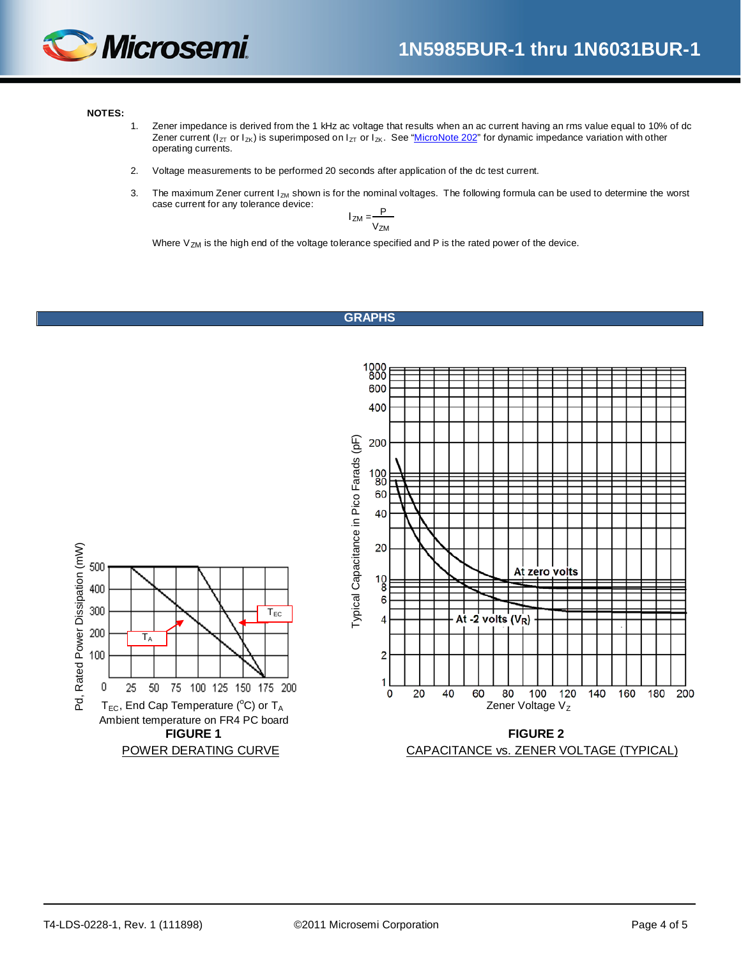

#### **NOTES:**

- 1. Zener impedance is derived from the 1 kHz ac voltage that results when an ac current having an rms value equal to 10% of dc Zener current ( $I_{ZT}$  or  $I_{ZK}$ ) is superimposed on  $I_{ZT}$  or  $I_{ZK}$ . See ["MicroNote 202"](http://www.microsemi.com/en/sites/default/files/micnotes/202.pdf) for dynamic impedance variation with other operating currents.
- 2. Voltage measurements to be performed 20 seconds after application of the dc test current.
- 3. The maximum Zener current  $I_{ZM}$  shown is for the nominal voltages. The following formula can be used to determine the worst case current for any tolerance device:

$$
I_{ZM} = \frac{P}{V_{ZM}}
$$

Where  $V_{ZM}$  is the high end of the voltage tolerance specified and P is the rated power of the device.

#### <span id="page-3-0"></span>**GRAPHS**

<span id="page-3-1"></span>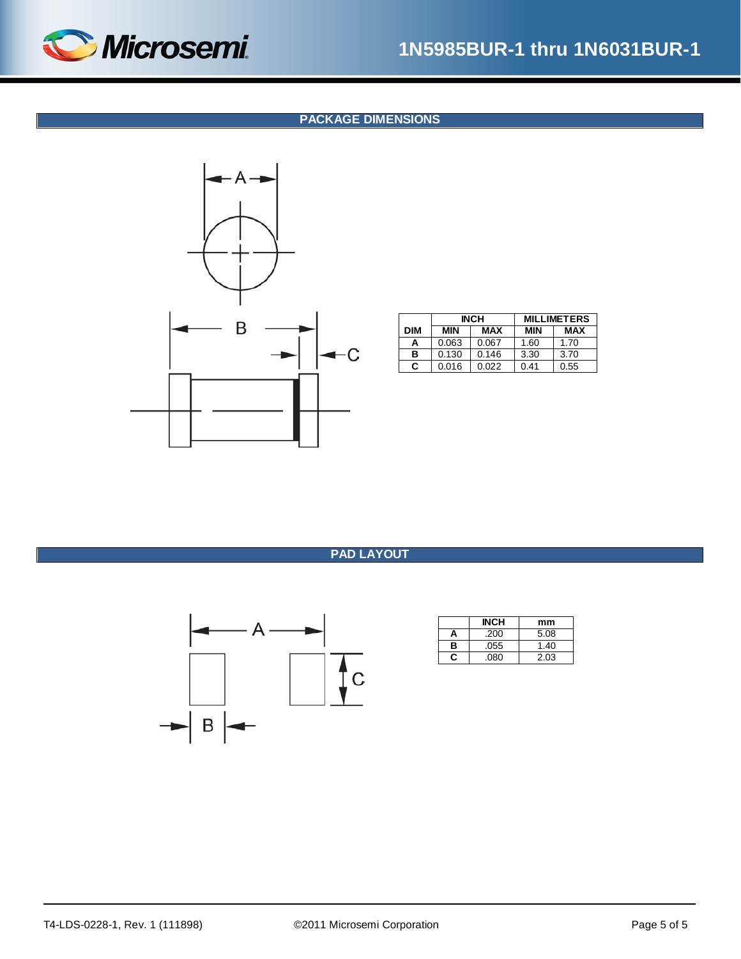<span id="page-4-1"></span>

# **1N5985BUR-1 thru 1N6031BUR-1**

#### **PACKAGE DIMENSIONS**



|     |       | <b>INCH</b> | <b>MILLIMETERS</b> |      |  |  |
|-----|-------|-------------|--------------------|------|--|--|
| DIM | MIN   | MAX         | MIN                | MAX  |  |  |
| А   | 0.063 | 0.067       | 1.60               | 1.70 |  |  |
| в   | 0.130 | 0.146       | 3.30               | 3.70 |  |  |
| C   | 0.016 | 0.022       | 0.41               | 0.55 |  |  |

### **PAD LAYOUT**

<span id="page-4-0"></span>

|   | <b>INCH</b> | mm   |
|---|-------------|------|
| А | .200        | 5.08 |
| в | .055        | 1.40 |
| c | .080        | 2.03 |